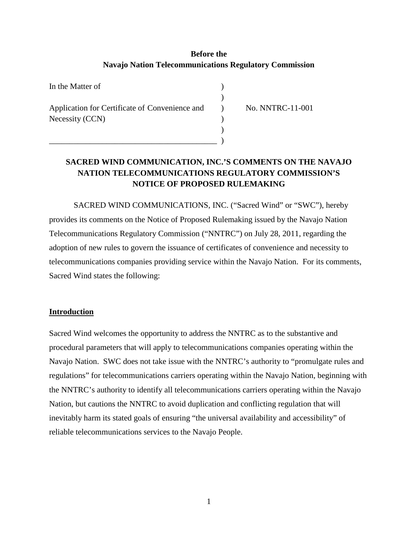# **Before the Navajo Nation Telecommunications Regulatory Commission**

)

| In the Matter of                               |  |
|------------------------------------------------|--|
|                                                |  |
| Application for Certificate of Convenience and |  |
| Necessity (CCN)                                |  |
|                                                |  |

\_\_\_\_\_\_\_\_\_\_\_\_\_\_\_\_\_\_\_\_\_\_\_\_\_\_\_\_\_\_\_\_\_\_\_\_\_\_\_\_\_ )

) No. NNTRC-11-001

# **SACRED WIND COMMUNICATION, INC.'S COMMENTS ON THE NAVAJO NATION TELECOMMUNICATIONS REGULATORY COMMISSION'S NOTICE OF PROPOSED RULEMAKING**

SACRED WIND COMMUNICATIONS, INC. ("Sacred Wind" or "SWC"), hereby provides its comments on the Notice of Proposed Rulemaking issued by the Navajo Nation Telecommunications Regulatory Commission ("NNTRC") on July 28, 2011, regarding the adoption of new rules to govern the issuance of certificates of convenience and necessity to telecommunications companies providing service within the Navajo Nation. For its comments, Sacred Wind states the following:

# **Introduction**

Sacred Wind welcomes the opportunity to address the NNTRC as to the substantive and procedural parameters that will apply to telecommunications companies operating within the Navajo Nation. SWC does not take issue with the NNTRC's authority to "promulgate rules and regulations" for telecommunications carriers operating within the Navajo Nation, beginning with the NNTRC's authority to identify all telecommunications carriers operating within the Navajo Nation, but cautions the NNTRC to avoid duplication and conflicting regulation that will inevitably harm its stated goals of ensuring "the universal availability and accessibility" of reliable telecommunications services to the Navajo People.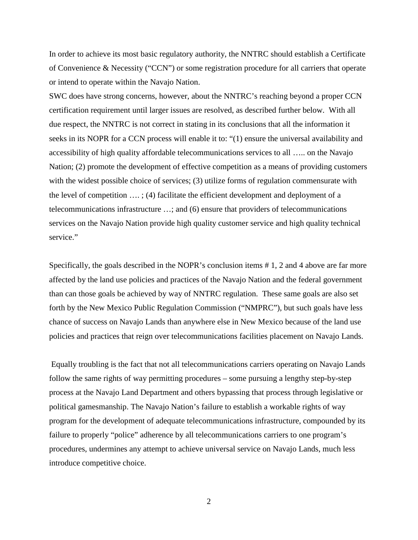In order to achieve its most basic regulatory authority, the NNTRC should establish a Certificate of Convenience & Necessity ("CCN") or some registration procedure for all carriers that operate or intend to operate within the Navajo Nation.

SWC does have strong concerns, however, about the NNTRC's reaching beyond a proper CCN certification requirement until larger issues are resolved, as described further below. With all due respect, the NNTRC is not correct in stating in its conclusions that all the information it seeks in its NOPR for a CCN process will enable it to: "(1) ensure the universal availability and accessibility of high quality affordable telecommunications services to all ….. on the Navajo Nation; (2) promote the development of effective competition as a means of providing customers with the widest possible choice of services; (3) utilize forms of regulation commensurate with the level of competition …. ; (4) facilitate the efficient development and deployment of a telecommunications infrastructure …; and (6) ensure that providers of telecommunications services on the Navajo Nation provide high quality customer service and high quality technical service."

Specifically, the goals described in the NOPR's conclusion items # 1, 2 and 4 above are far more affected by the land use policies and practices of the Navajo Nation and the federal government than can those goals be achieved by way of NNTRC regulation. These same goals are also set forth by the New Mexico Public Regulation Commission ("NMPRC"), but such goals have less chance of success on Navajo Lands than anywhere else in New Mexico because of the land use policies and practices that reign over telecommunications facilities placement on Navajo Lands.

Equally troubling is the fact that not all telecommunications carriers operating on Navajo Lands follow the same rights of way permitting procedures – some pursuing a lengthy step-by-step process at the Navajo Land Department and others bypassing that process through legislative or political gamesmanship. The Navajo Nation's failure to establish a workable rights of way program for the development of adequate telecommunications infrastructure, compounded by its failure to properly "police" adherence by all telecommunications carriers to one program's procedures, undermines any attempt to achieve universal service on Navajo Lands, much less introduce competitive choice.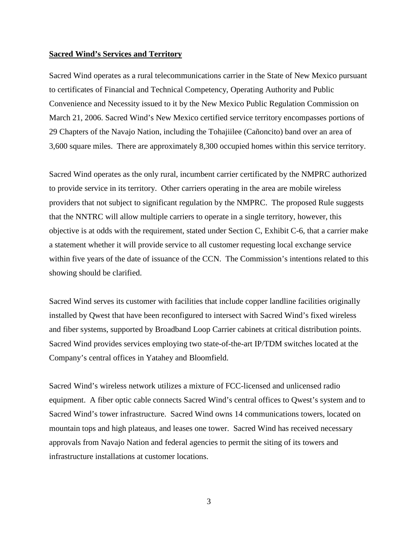#### **Sacred Wind's Services and Territory**

Sacred Wind operates as a rural telecommunications carrier in the State of New Mexico pursuant to certificates of Financial and Technical Competency, Operating Authority and Public Convenience and Necessity issued to it by the New Mexico Public Regulation Commission on March 21, 2006. Sacred Wind's New Mexico certified service territory encompasses portions of 29 Chapters of the Navajo Nation, including the Tohajiilee (Cañoncito) band over an area of 3,600 square miles. There are approximately 8,300 occupied homes within this service territory.

Sacred Wind operates as the only rural, incumbent carrier certificated by the NMPRC authorized to provide service in its territory. Other carriers operating in the area are mobile wireless providers that not subject to significant regulation by the NMPRC. The proposed Rule suggests that the NNTRC will allow multiple carriers to operate in a single territory, however, this objective is at odds with the requirement, stated under Section C, Exhibit C-6, that a carrier make a statement whether it will provide service to all customer requesting local exchange service within five years of the date of issuance of the CCN. The Commission's intentions related to this showing should be clarified.

Sacred Wind serves its customer with facilities that include copper landline facilities originally installed by Qwest that have been reconfigured to intersect with Sacred Wind's fixed wireless and fiber systems, supported by Broadband Loop Carrier cabinets at critical distribution points. Sacred Wind provides services employing two state-of-the-art IP/TDM switches located at the Company's central offices in Yatahey and Bloomfield.

Sacred Wind's wireless network utilizes a mixture of FCC-licensed and unlicensed radio equipment. A fiber optic cable connects Sacred Wind's central offices to Qwest's system and to Sacred Wind's tower infrastructure. Sacred Wind owns 14 communications towers, located on mountain tops and high plateaus, and leases one tower. Sacred Wind has received necessary approvals from Navajo Nation and federal agencies to permit the siting of its towers and infrastructure installations at customer locations.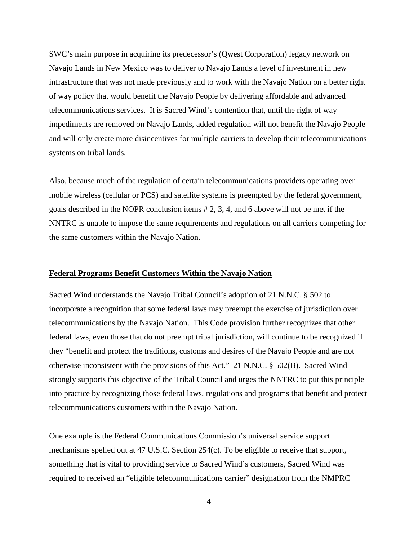SWC's main purpose in acquiring its predecessor's (Qwest Corporation) legacy network on Navajo Lands in New Mexico was to deliver to Navajo Lands a level of investment in new infrastructure that was not made previously and to work with the Navajo Nation on a better right of way policy that would benefit the Navajo People by delivering affordable and advanced telecommunications services. It is Sacred Wind's contention that, until the right of way impediments are removed on Navajo Lands, added regulation will not benefit the Navajo People and will only create more disincentives for multiple carriers to develop their telecommunications systems on tribal lands.

Also, because much of the regulation of certain telecommunications providers operating over mobile wireless (cellular or PCS) and satellite systems is preempted by the federal government, goals described in the NOPR conclusion items # 2, 3, 4, and 6 above will not be met if the NNTRC is unable to impose the same requirements and regulations on all carriers competing for the same customers within the Navajo Nation.

# **Federal Programs Benefit Customers Within the Navajo Nation**

Sacred Wind understands the Navajo Tribal Council's adoption of 21 N.N.C. § 502 to incorporate a recognition that some federal laws may preempt the exercise of jurisdiction over telecommunications by the Navajo Nation. This Code provision further recognizes that other federal laws, even those that do not preempt tribal jurisdiction, will continue to be recognized if they "benefit and protect the traditions, customs and desires of the Navajo People and are not otherwise inconsistent with the provisions of this Act." 21 N.N.C. § 502(B). Sacred Wind strongly supports this objective of the Tribal Council and urges the NNTRC to put this principle into practice by recognizing those federal laws, regulations and programs that benefit and protect telecommunications customers within the Navajo Nation.

One example is the Federal Communications Commission's universal service support mechanisms spelled out at 47 U.S.C. Section 254(c). To be eligible to receive that support, something that is vital to providing service to Sacred Wind's customers, Sacred Wind was required to received an "eligible telecommunications carrier" designation from the NMPRC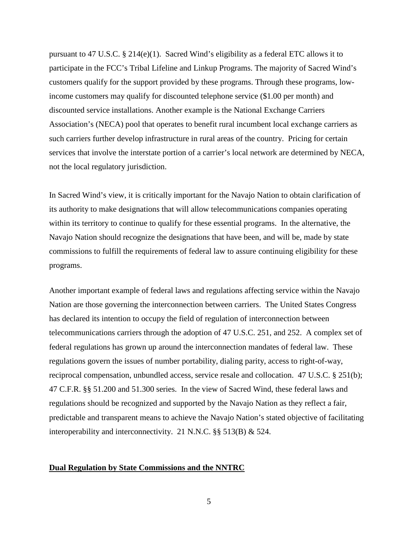pursuant to 47 U.S.C. § 214(e)(1). Sacred Wind's eligibility as a federal ETC allows it to participate in the FCC's Tribal Lifeline and Linkup Programs. The majority of Sacred Wind's customers qualify for the support provided by these programs. Through these programs, lowincome customers may qualify for discounted telephone service (\$1.00 per month) and discounted service installations. Another example is the National Exchange Carriers Association's (NECA) pool that operates to benefit rural incumbent local exchange carriers as such carriers further develop infrastructure in rural areas of the country. Pricing for certain services that involve the interstate portion of a carrier's local network are determined by NECA, not the local regulatory jurisdiction.

In Sacred Wind's view, it is critically important for the Navajo Nation to obtain clarification of its authority to make designations that will allow telecommunications companies operating within its territory to continue to qualify for these essential programs. In the alternative, the Navajo Nation should recognize the designations that have been, and will be, made by state commissions to fulfill the requirements of federal law to assure continuing eligibility for these programs.

Another important example of federal laws and regulations affecting service within the Navajo Nation are those governing the interconnection between carriers. The United States Congress has declared its intention to occupy the field of regulation of interconnection between telecommunications carriers through the adoption of 47 U.S.C. 251, and 252. A complex set of federal regulations has grown up around the interconnection mandates of federal law. These regulations govern the issues of number portability, dialing parity, access to right-of-way, reciprocal compensation, unbundled access, service resale and collocation. 47 U.S.C. § 251(b); 47 C.F.R. §§ 51.200 and 51.300 series. In the view of Sacred Wind, these federal laws and regulations should be recognized and supported by the Navajo Nation as they reflect a fair, predictable and transparent means to achieve the Navajo Nation's stated objective of facilitating interoperability and interconnectivity. 21 N.N.C. §§ 513(B) & 524.

#### **Dual Regulation by State Commissions and the NNTRC**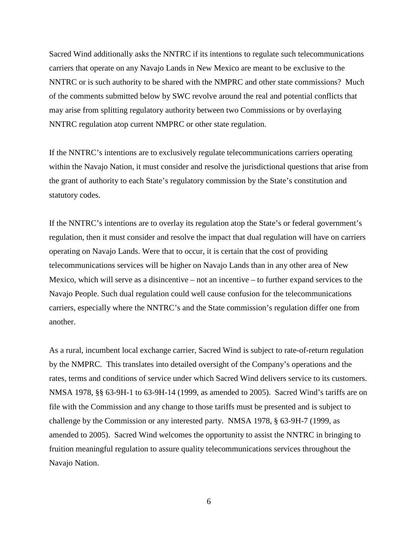Sacred Wind additionally asks the NNTRC if its intentions to regulate such telecommunications carriers that operate on any Navajo Lands in New Mexico are meant to be exclusive to the NNTRC or is such authority to be shared with the NMPRC and other state commissions? Much of the comments submitted below by SWC revolve around the real and potential conflicts that may arise from splitting regulatory authority between two Commissions or by overlaying NNTRC regulation atop current NMPRC or other state regulation.

If the NNTRC's intentions are to exclusively regulate telecommunications carriers operating within the Navajo Nation, it must consider and resolve the jurisdictional questions that arise from the grant of authority to each State's regulatory commission by the State's constitution and statutory codes.

If the NNTRC's intentions are to overlay its regulation atop the State's or federal government's regulation, then it must consider and resolve the impact that dual regulation will have on carriers operating on Navajo Lands. Were that to occur, it is certain that the cost of providing telecommunications services will be higher on Navajo Lands than in any other area of New Mexico, which will serve as a disincentive – not an incentive – to further expand services to the Navajo People. Such dual regulation could well cause confusion for the telecommunications carriers, especially where the NNTRC's and the State commission's regulation differ one from another.

As a rural, incumbent local exchange carrier, Sacred Wind is subject to rate-of-return regulation by the NMPRC. This translates into detailed oversight of the Company's operations and the rates, terms and conditions of service under which Sacred Wind delivers service to its customers. NMSA 1978, §§ 63-9H-1 to 63-9H-14 (1999, as amended to 2005). Sacred Wind's tariffs are on file with the Commission and any change to those tariffs must be presented and is subject to challenge by the Commission or any interested party. NMSA 1978, § 63-9H-7 (1999, as amended to 2005). Sacred Wind welcomes the opportunity to assist the NNTRC in bringing to fruition meaningful regulation to assure quality telecommunications services throughout the Navajo Nation.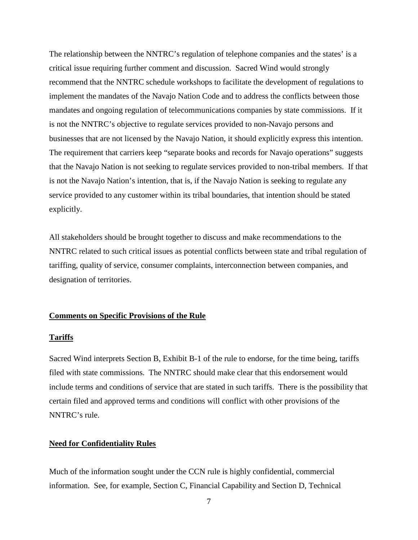The relationship between the NNTRC's regulation of telephone companies and the states' is a critical issue requiring further comment and discussion. Sacred Wind would strongly recommend that the NNTRC schedule workshops to facilitate the development of regulations to implement the mandates of the Navajo Nation Code and to address the conflicts between those mandates and ongoing regulation of telecommunications companies by state commissions. If it is not the NNTRC's objective to regulate services provided to non-Navajo persons and businesses that are not licensed by the Navajo Nation, it should explicitly express this intention. The requirement that carriers keep "separate books and records for Navajo operations" suggests that the Navajo Nation is not seeking to regulate services provided to non-tribal members. If that is not the Navajo Nation's intention, that is, if the Navajo Nation is seeking to regulate any service provided to any customer within its tribal boundaries, that intention should be stated explicitly.

All stakeholders should be brought together to discuss and make recommendations to the NNTRC related to such critical issues as potential conflicts between state and tribal regulation of tariffing, quality of service, consumer complaints, interconnection between companies, and designation of territories.

# **Comments on Specific Provisions of the Rule**

### **Tariffs**

Sacred Wind interprets Section B, Exhibit B-1 of the rule to endorse, for the time being, tariffs filed with state commissions. The NNTRC should make clear that this endorsement would include terms and conditions of service that are stated in such tariffs. There is the possibility that certain filed and approved terms and conditions will conflict with other provisions of the NNTRC's rule.

# **Need for Confidentiality Rules**

Much of the information sought under the CCN rule is highly confidential, commercial information. See, for example, Section C, Financial Capability and Section D, Technical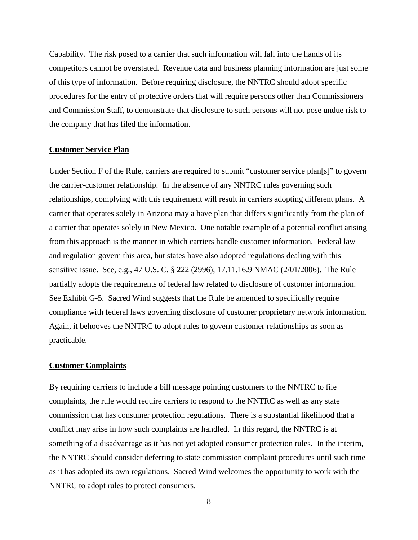Capability. The risk posed to a carrier that such information will fall into the hands of its competitors cannot be overstated. Revenue data and business planning information are just some of this type of information. Before requiring disclosure, the NNTRC should adopt specific procedures for the entry of protective orders that will require persons other than Commissioners and Commission Staff, to demonstrate that disclosure to such persons will not pose undue risk to the company that has filed the information.

### **Customer Service Plan**

Under Section F of the Rule, carriers are required to submit "customer service plan[s]" to govern the carrier-customer relationship. In the absence of any NNTRC rules governing such relationships, complying with this requirement will result in carriers adopting different plans. A carrier that operates solely in Arizona may a have plan that differs significantly from the plan of a carrier that operates solely in New Mexico. One notable example of a potential conflict arising from this approach is the manner in which carriers handle customer information. Federal law and regulation govern this area, but states have also adopted regulations dealing with this sensitive issue. See, e.g., 47 U.S. C. § 222 (2996); 17.11.16.9 NMAC (2/01/2006). The Rule partially adopts the requirements of federal law related to disclosure of customer information. See Exhibit G-5. Sacred Wind suggests that the Rule be amended to specifically require compliance with federal laws governing disclosure of customer proprietary network information. Again, it behooves the NNTRC to adopt rules to govern customer relationships as soon as practicable.

#### **Customer Complaints**

By requiring carriers to include a bill message pointing customers to the NNTRC to file complaints, the rule would require carriers to respond to the NNTRC as well as any state commission that has consumer protection regulations. There is a substantial likelihood that a conflict may arise in how such complaints are handled. In this regard, the NNTRC is at something of a disadvantage as it has not yet adopted consumer protection rules. In the interim, the NNTRC should consider deferring to state commission complaint procedures until such time as it has adopted its own regulations. Sacred Wind welcomes the opportunity to work with the NNTRC to adopt rules to protect consumers.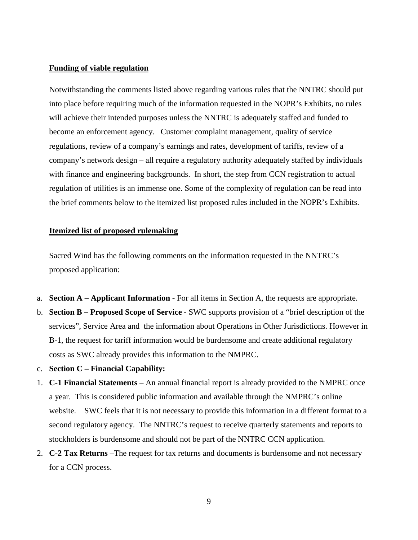#### **Funding of viable regulation**

Notwithstanding the comments listed above regarding various rules that the NNTRC should put into place before requiring much of the information requested in the NOPR's Exhibits, no rules will achieve their intended purposes unless the NNTRC is adequately staffed and funded to become an enforcement agency. Customer complaint management, quality of service regulations, review of a company's earnings and rates, development of tariffs, review of a company's network design – all require a regulatory authority adequately staffed by individuals with finance and engineering backgrounds. In short, the step from CCN registration to actual regulation of utilities is an immense one. Some of the complexity of regulation can be read into the brief comments below to the itemized list proposed rules included in the NOPR's Exhibits.

#### **Itemized list of proposed rulemaking**

Sacred Wind has the following comments on the information requested in the NNTRC's proposed application:

- a. **Section A – Applicant Information** For all items in Section A, the requests are appropriate.
- b. **Section B – Proposed Scope of Service** SWC supports provision of a "brief description of the services", Service Area and the information about Operations in Other Jurisdictions. However in B-1, the request for tariff information would be burdensome and create additional regulatory costs as SWC already provides this information to the NMPRC.
- c. **Section C – Financial Capability:**
- 1. **C-1 Financial Statements** An annual financial report is already provided to the NMPRC once a year. This is considered public information and available through the NMPRC's online website. SWC feels that it is not necessary to provide this information in a different format to a second regulatory agency. The NNTRC's request to receive quarterly statements and reports to stockholders is burdensome and should not be part of the NNTRC CCN application.
- 2. **C-2 Tax Returns** –The request for tax returns and documents is burdensome and not necessary for a CCN process.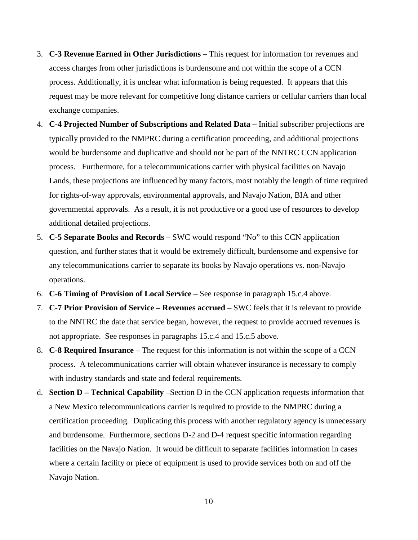- 3. **C-3 Revenue Earned in Other Jurisdictions** This request for information for revenues and access charges from other jurisdictions is burdensome and not within the scope of a CCN process. Additionally, it is unclear what information is being requested. It appears that this request may be more relevant for competitive long distance carriers or cellular carriers than local exchange companies.
- 4. **C-4 Projected Number of Subscriptions and Related Data –** Initial subscriber projections are typically provided to the NMPRC during a certification proceeding, and additional projections would be burdensome and duplicative and should not be part of the NNTRC CCN application process. Furthermore, for a telecommunications carrier with physical facilities on Navajo Lands, these projections are influenced by many factors, most notably the length of time required for rights-of-way approvals, environmental approvals, and Navajo Nation, BIA and other governmental approvals. As a result, it is not productive or a good use of resources to develop additional detailed projections.
- 5. **C-5 Separate Books and Records** SWC would respond "No" to this CCN application question, and further states that it would be extremely difficult, burdensome and expensive for any telecommunications carrier to separate its books by Navajo operations vs. non-Navajo operations.
- 6. **C-6 Timing of Provision of Local Service** See response in paragraph 15.c.4 above.
- 7. **C-7 Prior Provision of Service – Revenues accrued** SWC feels that it is relevant to provide to the NNTRC the date that service began, however, the request to provide accrued revenues is not appropriate. See responses in paragraphs 15.c.4 and 15.c.5 above.
- 8. **C-8 Required Insurance** The request for this information is not within the scope of a CCN process. A telecommunications carrier will obtain whatever insurance is necessary to comply with industry standards and state and federal requirements.
- d. **Section D – Technical Capability** –Section D in the CCN application requests information that a New Mexico telecommunications carrier is required to provide to the NMPRC during a certification proceeding. Duplicating this process with another regulatory agency is unnecessary and burdensome. Furthermore, sections D-2 and D-4 request specific information regarding facilities on the Navajo Nation. It would be difficult to separate facilities information in cases where a certain facility or piece of equipment is used to provide services both on and off the Navajo Nation.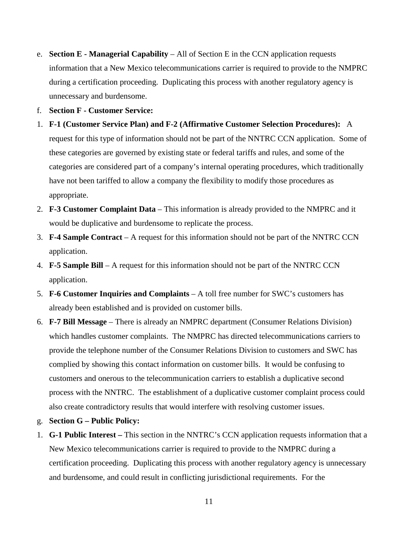- e. **Section E - Managerial Capability** All of Section E in the CCN application requests information that a New Mexico telecommunications carrier is required to provide to the NMPRC during a certification proceeding. Duplicating this process with another regulatory agency is unnecessary and burdensome.
- f. **Section F - Customer Service:**
- 1. **F-1 (Customer Service Plan) and F-2 (Affirmative Customer Selection Procedures):** A request for this type of information should not be part of the NNTRC CCN application. Some of these categories are governed by existing state or federal tariffs and rules, and some of the categories are considered part of a company's internal operating procedures, which traditionally have not been tariffed to allow a company the flexibility to modify those procedures as appropriate.
- 2. **F-3 Customer Complaint Data** This information is already provided to the NMPRC and it would be duplicative and burdensome to replicate the process.
- 3. **F-4 Sample Contract** A request for this information should not be part of the NNTRC CCN application.
- 4. **F-5 Sample Bill** A request for this information should not be part of the NNTRC CCN application.
- 5. **F-6 Customer Inquiries and Complaints** A toll free number for SWC's customers has already been established and is provided on customer bills.
- 6. **F-7 Bill Message** There is already an NMPRC department (Consumer Relations Division) which handles customer complaints. The NMPRC has directed telecommunications carriers to provide the telephone number of the Consumer Relations Division to customers and SWC has complied by showing this contact information on customer bills. It would be confusing to customers and onerous to the telecommunication carriers to establish a duplicative second process with the NNTRC. The establishment of a duplicative customer complaint process could also create contradictory results that would interfere with resolving customer issues.
- g. **Section G – Public Policy:**
- 1. **G-1 Public Interest –** This section in the NNTRC's CCN application requests information that a New Mexico telecommunications carrier is required to provide to the NMPRC during a certification proceeding. Duplicating this process with another regulatory agency is unnecessary and burdensome, and could result in conflicting jurisdictional requirements. For the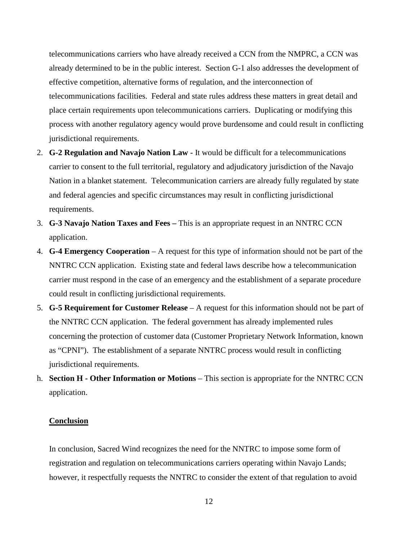telecommunications carriers who have already received a CCN from the NMPRC, a CCN was already determined to be in the public interest. Section G-1 also addresses the development of effective competition, alternative forms of regulation, and the interconnection of telecommunications facilities. Federal and state rules address these matters in great detail and place certain requirements upon telecommunications carriers. Duplicating or modifying this process with another regulatory agency would prove burdensome and could result in conflicting jurisdictional requirements.

- 2. **G-2 Regulation and Navajo Nation Law -** It would be difficult for a telecommunications carrier to consent to the full territorial, regulatory and adjudicatory jurisdiction of the Navajo Nation in a blanket statement. Telecommunication carriers are already fully regulated by state and federal agencies and specific circumstances may result in conflicting jurisdictional requirements.
- 3. **G-3 Navajo Nation Taxes and Fees –** This is an appropriate request in an NNTRC CCN application.
- 4. **G-4 Emergency Cooperation** A request for this type of information should not be part of the NNTRC CCN application. Existing state and federal laws describe how a telecommunication carrier must respond in the case of an emergency and the establishment of a separate procedure could result in conflicting jurisdictional requirements.
- 5. **G-5 Requirement for Customer Release** A request for this information should not be part of the NNTRC CCN application. The federal government has already implemented rules concerning the protection of customer data (Customer Proprietary Network Information, known as "CPNI"). The establishment of a separate NNTRC process would result in conflicting jurisdictional requirements.
- h. **Section H - Other Information or Motions**  This section is appropriate for the NNTRC CCN application.

### **Conclusion**

In conclusion, Sacred Wind recognizes the need for the NNTRC to impose some form of registration and regulation on telecommunications carriers operating within Navajo Lands; however, it respectfully requests the NNTRC to consider the extent of that regulation to avoid